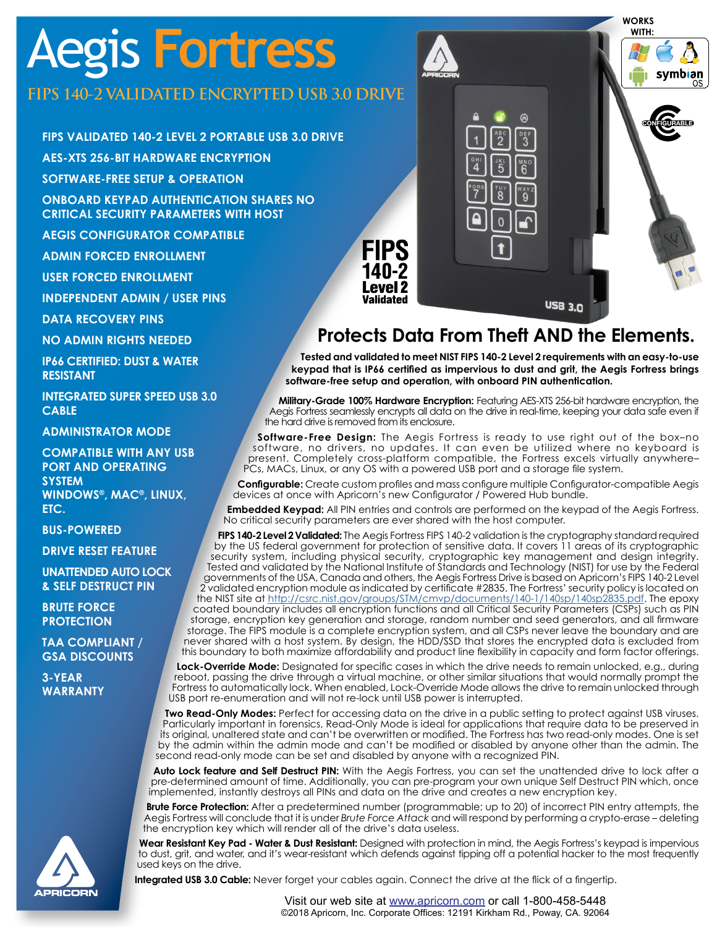# Aegis **Fortress**

### **FIPS 140-2 VALIDATED ENCRYPTED USB 3.0 DRIVE**

**FIPS VALIDATED 140-2 LEVEL 2 PORTABLE USB 3.0 DRIVE**

**AES-XTS 256-BIT HARDWARE ENCRYPTION**

**SOFTWARE-FREE SETUP & OPERATION**

**ONBOARD KEYPAD AUTHENTICATION SHARES NO CRITICAL SECURITY PARAMETERS WITH HOST**

**AEGIS CONFIGURATOR COMPATIBLE**

**ADMIN FORCED ENROLLMENT**

**USER FORCED ENROLLMENT**

**INDEPENDENT ADMIN / USER PINS**

**DATA RECOVERY PINS**

**NO ADMIN RIGHTS NEEDED**

**IP66 CERTIFIED: DUST & WATER RESISTANT** 

**INTEGRATED SUPER SPEED USB 3.0 CABLE**

**ADMINISTRATOR MODE**

**COMPATIBLE WITH ANY USB PORT AND OPERATING SYSTEM WINDOWS®, MAC®, LINUX, ETC.**

**BUS-POWERED**

**DRIVE RESET FEATURE**

**UNATTENDED AUTO LOCK & SELF DESTRUCT PIN**

**BRUTE FORCE PROTECTION**

**TAA COMPLIANT / GSA DISCOUNTS**

**3-YEAR WARRANTY**



**WORKS WITH:**

## **Protects Data From Theft AND the Elements.**

USB 3.0

**Tested and validated to meet NIST FIPS 140-2 Level 2 requirements with an easy-to-use keypad that is IP66 certified as impervious to dust and grit, the Aegis Fortress brings software-free setup and operation, with onboard PIN authentication.** 

**Military-Grade 100% Hardware Encryption:** Featuring AES-XTS 256-bit hardware encryption, the Aegis Fortress seamlessly encrypts all data on the drive in real-time, keeping your data safe even if the hard drive is removed from its enclosure.

**Software-Free Design:** The Aegis Fortress is ready to use right out of the box–no software, no drivers, no updates. It can even be utilized where no keyboard is present. Completely cross-platform compatible, the Fortress excels virtually anywhere– PCs, MACs, Linux, or any OS with a powered USB port and a storage file system.

**Configurable:** Create custom profiles and mass configure multiple Configurator-compatible Aegis devices at once with Apricorn's new Configurator / Powered Hub bundle.

**Embedded Keypad:** All PIN entries and controls are performed on the keypad of the Aegis Fortress. No critical security parameters are ever shared with the host computer.

**FIPS 140-2 Level 2 Validated:** The Aegis Fortress FIPS 140-2 validation is the cryptography standard required by the US federal government for protection of sensitive data. It covers 11 areas of its cryptographic security system, including physical security, cryptographic key management and design integrity. Tested and validated by the National Institute of Standards and Technology (NIST) for use by the Federal governments of the USA, Canada and others, the Aegis Fortress Drive is based on Apricorn's FIPS 140-2 Level 2 validated encryption module as indicated by certificate #2835. The Fortress' security policy is located on the NIST site at <http://csrc.nist.gov/groups/STM/cmvp/documents/140-1/140sp/140sp2835.pdf>. The epoxy coated boundary includes all encryption functions and all Critical Security Parameters (CSPs) such as PIN storage, encryption key generation and storage, random number and seed generators, and all firmware storage. The FIPS module is a complete encryption system, and all CSPs never leave the boundary and are never shared with a host system. By design, the HDD/SSD that stores the encrypted data is excluded from this boundary to both maximize affordability and product line flexibility in capacity and form factor offerings.

**Lock-Override Mode:** Designated for specific cases in which the drive needs to remain unlocked, e.g., during reboot, passing the drive through a virtual machine, or other similar situations that would normally prompt the Fortress to automatically lock. When enabled, Lock-Override Mode allows the drive to remain unlocked through USB port re-enumeration and will not re-lock until USB power is interrupted.

**Two Read-Only Modes:** Perfect for accessing data on the drive in a public setting to protect against USB viruses. Particularly important in forensics, Read-Only Mode is ideal for applications that require data to be preserved in its original, unaltered state and can't be overwritten or modified. The Fortress has two read-only modes. One is set by the admin within the admin mode and can't be modified or disabled by anyone other than the admin. The second read-only mode can be set and disabled by anyone with a recognized PIN.

Auto Lock feature and Self Destruct PIN: With the Aegis Fortress, you can set the unattended drive to lock after a pre-determined amount of time. Additionally, you can pre-program your own unique Self Destruct PIN which, once implemented, instantly destroys all PINs and data on the drive and creates a new encryption key.

**Brute Force Protection:** After a predetermined number (programmable; up to 20) of incorrect PIN entry attempts, the Aegis Fortress will conclude that it is under *Brute Force Attack* and will respond by performing a crypto-erase – deleting the encryption key which will render all of the drive's data useless.

**Wear Resistant Key Pad - Water & Dust Resistant:** Designed with protection in mind, the Aegis Fortress's keypad is impervious to dust, grit, and water, and it's wear-resistant which defends against tipping off a potential hacker to the most frequently used keys on the drive.

**Integrated USB 3.0 Cable:** Never forget your cables again. Connect the drive at the flick of a fingertip.

Visit our web site at <www.apricorn.com> or call 1-800-458-5448 ©2018 Apricorn, Inc. Corporate Offices: 12191 Kirkham Rd., Poway, CA. 92064